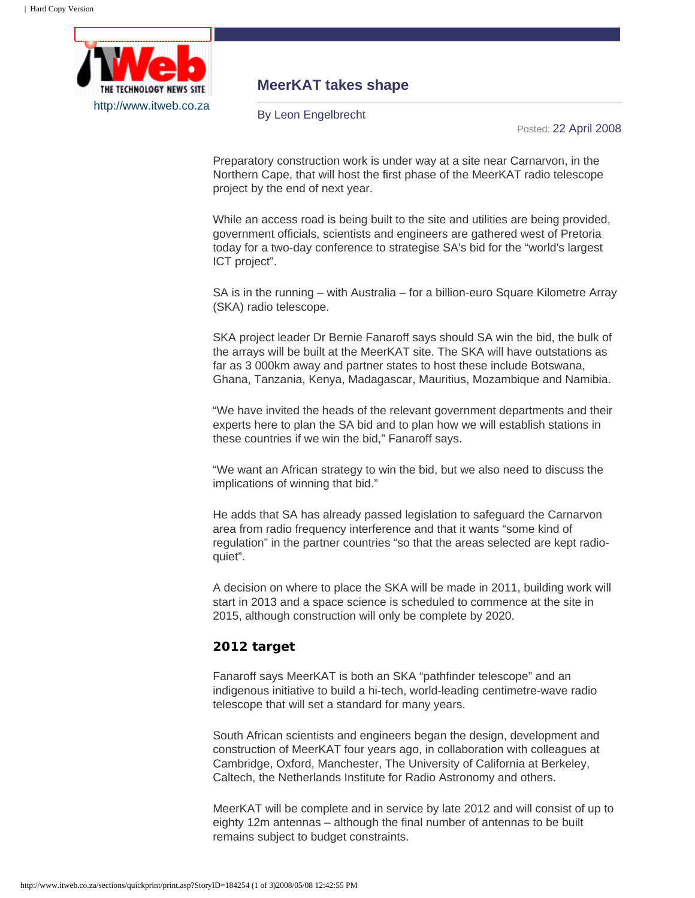

## **MeerKAT takes shape**

By Leon Engelbrecht

Posted: 22 April 2008

Preparatory construction work is under way at a site near Carnarvon, in the Northern Cape, that will host the first phase of the MeerKAT radio telescope project by the end of next year.

While an access road is being built to the site and utilities are being provided, government officials, scientists and engineers are gathered west of Pretoria today for a two-day conference to strategise SA's bid for the "world's largest ICT project".

SA is in the running – with Australia – for a billion-euro Square Kilometre Array (SKA) radio telescope.

SKA project leader Dr Bernie Fanaroff says should SA win the bid, the bulk of the arrays will be built at the MeerKAT site. The SKA will have outstations as far as 3 000km away and partner states to host these include Botswana, Ghana, Tanzania, Kenya, Madagascar, Mauritius, Mozambique and Namibia.

"We have invited the heads of the relevant government departments and their experts here to plan the SA bid and to plan how we will establish stations in these countries if we win the bid," Fanaroff says.

"We want an African strategy to win the bid, but we also need to discuss the implications of winning that bid."

He adds that SA has already passed legislation to safeguard the Carnarvon area from radio frequency interference and that it wants "some kind of regulation" in the partner countries "so that the areas selected are kept radioquiet".

A decision on where to place the SKA will be made in 2011, building work will start in 2013 and a space science is scheduled to commence at the site in 2015, although construction will only be complete by 2020.

## **2012 target**

Fanaroff says MeerKAT is both an SKA "pathfinder telescope" and an indigenous initiative to build a hi-tech, world-leading centimetre-wave radio telescope that will set a standard for many years.

South African scientists and engineers began the design, development and construction of MeerKAT four years ago, in collaboration with colleagues at Cambridge, Oxford, Manchester, The University of California at Berkeley, Caltech, the Netherlands Institute for Radio Astronomy and others.

MeerKAT will be complete and in service by late 2012 and will consist of up to eighty 12m antennas – although the final number of antennas to be built remains subject to budget constraints.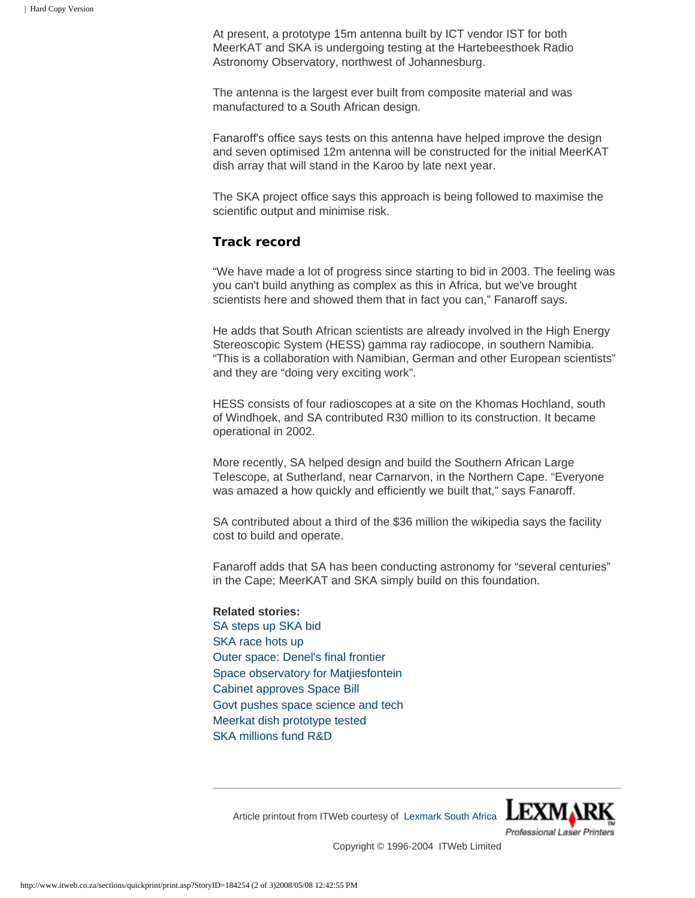At present, a prototype 15m antenna built by ICT vendor IST for both MeerKAT and SKA is undergoing testing at the Hartebeesthoek Radio Astronomy Observatory, northwest of Johannesburg.

The antenna is the largest ever built from composite material and was manufactured to a South African design.

Fanaroff's office says tests on this antenna have helped improve the design and seven optimised 12m antenna will be constructed for the initial MeerKAT dish array that will stand in the Karoo by late next year.

The SKA project office says this approach is being followed to maximise the scientific output and minimise risk.

## **Track record**

"We have made a lot of progress since starting to bid in 2003. The feeling was you can't build anything as complex as this in Africa, but we've brought scientists here and showed them that in fact you can," Fanaroff says.

He adds that South African scientists are already involved in the High Energy Stereoscopic System (HESS) gamma ray radiocope, in southern Namibia. "This is a collaboration with Namibian, German and other European scientists" and they are "doing very exciting work".

HESS consists of four radioscopes at a site on the Khomas Hochland, south of Windhoek, and SA contributed R30 million to its construction. It became operational in 2002.

More recently, SA helped design and build the Southern African Large Telescope, at Sutherland, near Carnarvon, in the Northern Cape. "Everyone was amazed a how quickly and efficiently we built that," says Fanaroff.

SA contributed about a third of the \$36 million the wikipedia says the facility cost to build and operate.

Fanaroff adds that SA has been conducting astronomy for "several centuries" in the Cape; MeerKAT and SKA simply build on this foundation.

## **Related stories:**  [SA steps up SKA bid](http://www.itweb.co.za/sections/telecoms/2008/0804211036.asp?O=FPTOP&S=IT%20in%20Government&A=ITG) [SKA race hots up](http://www.itweb.co.za/sections/business/2008/0804171040.asp) [Outer space: Denel's final frontier](http://www.itweb.co.za/sections/business/2008/0804021044.asp) [Space observatory for Matjiesfontein](http://www.itweb.co.za/sections/business/2008/0803071032.asp) [Cabinet approves Space Bill](http://www.itweb.co.za/sections/business/2007/0712071032.asp) [Govt pushes space science and tech](http://www.itweb.co.za/sections/business/2008/0802211034.asp) [Meerkat dish prototype tested](http://www.itweb.co.za/sections/business/2007/0710021034.asp) [SKA millions fund R&D](http://www.itweb.co.za/sections/business/2007/0705291034.asp)

**LEXM** Professional Laser Printers

Article printout from ITWeb courtesy of [Lexmark South Africa](http://www.lexmark.co.za/)

Copyright © 1996-2004 ITWeb Limited